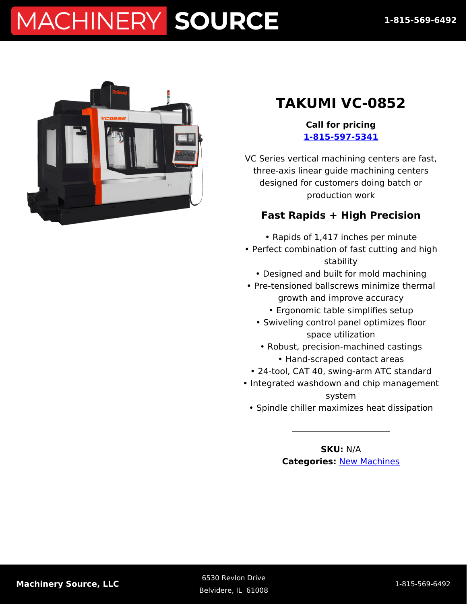# MACHINERY SOURCE



#### **TAKUMI VC-0852**

**Call for pricing [1-815-597-5341](#page--1-0)**

VC Series vertical machining centers are fast, three-axis linear guide machining centers designed for customers doing batch or production work

#### **Fast Rapids + High Precision**

- Rapids of 1,417 inches per minute
- Perfect combination of fast cutting and high stability
	- Designed and built for mold machining
- Pre-tensioned ballscrews minimize thermal growth and improve accuracy
	- Ergonomic table simplifies setup
	- Swiveling control panel optimizes floor space utilization
	- Robust, precision-machined castings • Hand-scraped contact areas
- 24-tool, CAT 40, swing-arm ATC standard
- Integrated washdown and chip management system
	- Spindle chiller maximizes heat dissipation

**SKU:** N/A **Categories:** [New Machines](https://machinerysource.com/product-category/machining-centers/)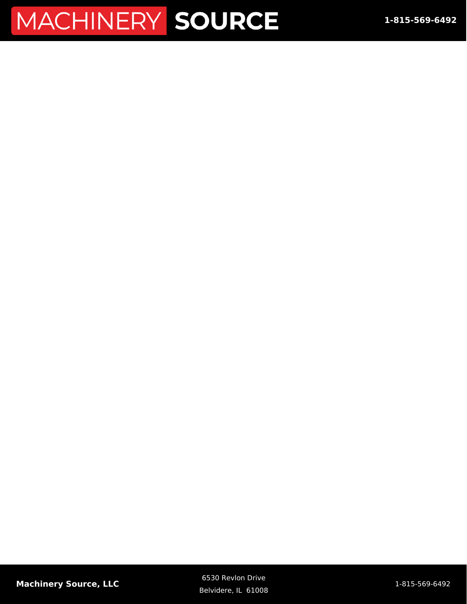## MACHINERY SOURCE